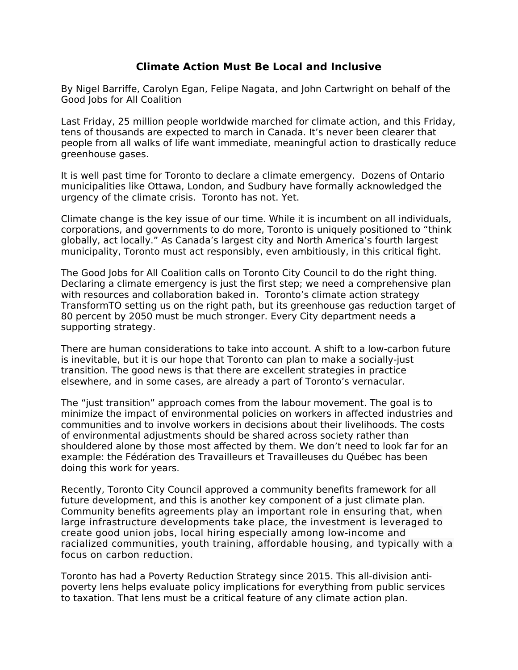## **Climate Action Must Be Local and Inclusive**

By Nigel Barriffe, Carolyn Egan, Felipe Nagata, and John Cartwright on behalf of the Good Jobs for All Coalition

Last Friday, 25 million people worldwide marched for climate action, and this Friday, tens of thousands are expected to march in Canada. It's never been clearer that people from all walks of life want immediate, meaningful action to drastically reduce greenhouse gases.

It is well past time for Toronto to declare a climate emergency. Dozens of Ontario municipalities like Ottawa, London, and Sudbury have formally acknowledged the urgency of the climate crisis. Toronto has not. Yet.

Climate change is the key issue of our time. While it is incumbent on all individuals, corporations, and governments to do more, Toronto is uniquely positioned to "think globally, act locally." As Canada's largest city and North America's fourth largest municipality, Toronto must act responsibly, even ambitiously, in this critical fight.

The Good Jobs for All Coalition calls on Toronto City Council to do the right thing. Declaring a climate emergency is just the first step; we need a comprehensive plan with resources and collaboration baked in. Toronto's climate action strategy TransformTO setting us on the right path, but its greenhouse gas reduction target of 80 percent by 2050 must be much stronger. Every City department needs a supporting strategy.

There are human considerations to take into account. A shift to a low-carbon future is inevitable, but it is our hope that Toronto can plan to make a socially-just transition. The good news is that there are excellent strategies in practice elsewhere, and in some cases, are already a part of Toronto's vernacular.

The "just transition" approach comes from the labour movement. The goal is to minimize the impact of environmental policies on workers in affected industries and communities and to involve workers in decisions about their livelihoods. The costs of environmental adjustments should be shared across society rather than shouldered alone by those most affected by them. We don't need to look far for an example: the Fédération des Travailleurs et Travailleuses du Québec has been doing this work for years.

Recently, Toronto City Council approved a community benefits framework for all future development, and this is another key component of a just climate plan. Community benefits agreements play an important role in ensuring that, when large infrastructure developments take place, the investment is leveraged to create good union jobs, local hiring especially among low-income and racialized communities, youth training, affordable housing, and typically with a focus on carbon reduction.

Toronto has had a Poverty Reduction Strategy since 2015. This all-division antipoverty lens helps evaluate policy implications for everything from public services to taxation. That lens must be a critical feature of any climate action plan.